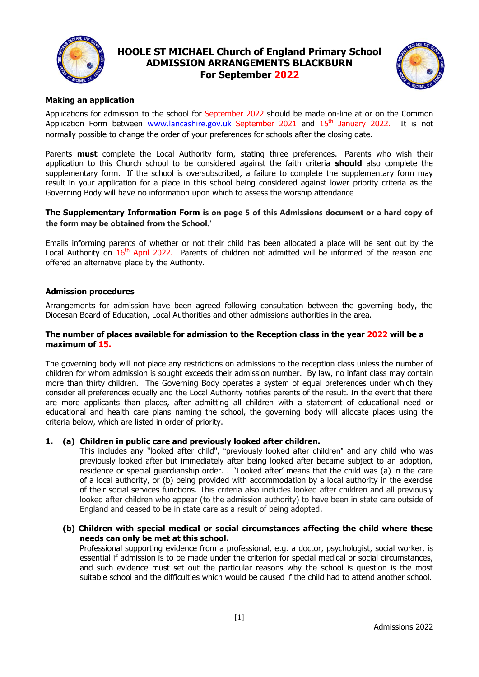

# **HOOLE ST MICHAEL Church of England Primary School ADMISSION ARRANGEMENTS BLACKBURN For September 2022**



## **Making an application**

Applications for admission to the school for September 2022 should be made on-line at or on the Common Application Form between [www.lancashire.gov.uk](http://www.lancashire.gov.uk/) September 2021 and 15<sup>th</sup> January 2022. It is not normally possible to change the order of your preferences for schools after the closing date.

Parents **must** complete the Local Authority form, stating three preferences. Parents who wish their application to this Church school to be considered against the faith criteria **should** also complete the supplementary form. If the school is oversubscribed, a failure to complete the supplementary form may result in your application for a place in this school being considered against lower priority criteria as the Governing Body will have no information upon which to assess the worship attendance.

## **The Supplementary Information Form is on page 5 of this Admissions document or a hard copy of the form may be obtained from the School.'**

Emails informing parents of whether or not their child has been allocated a place will be sent out by the Local Authority on 16<sup>th</sup> April 2022. Parents of children not admitted will be informed of the reason and offered an alternative place by the Authority.

## **Admission procedures**

Arrangements for admission have been agreed following consultation between the governing body, the Diocesan Board of Education, Local Authorities and other admissions authorities in the area.

#### **The number of places available for admission to the Reception class in the year 2022 will be a maximum of 15.**

The governing body will not place any restrictions on admissions to the reception class unless the number of children for whom admission is sought exceeds their admission number. By law, no infant class may contain more than thirty children. The Governing Body operates a system of equal preferences under which they consider all preferences equally and the Local Authority notifies parents of the result. In the event that there are more applicants than places, after admitting all children with a statement of educational need or educational and health care plans naming the school, the governing body will allocate places using the criteria below, which are listed in order of priority.

## **1. (a) Children in public care and previously looked after children.**

This includes any "looked after child", "previously looked after children" and any child who was previously looked after but immediately after being looked after became subject to an adoption, residence or special guardianship order. . 'Looked after' means that the child was (a) in the care of a local authority, or (b) being provided with accommodation by a local authority in the exercise of their social services functions. This criteria also includes looked after children and all previously looked after children who appear (to the admission authority) to have been in state care outside of England and ceased to be in state care as a result of being adopted.

**(b) Children with special medical or social circumstances affecting the child where these needs can only be met at this school.**

Professional supporting evidence from a professional, e.g. a doctor, psychologist, social worker, is essential if admission is to be made under the criterion for special medical or social circumstances, and such evidence must set out the particular reasons why the school is question is the most suitable school and the difficulties which would be caused if the child had to attend another school.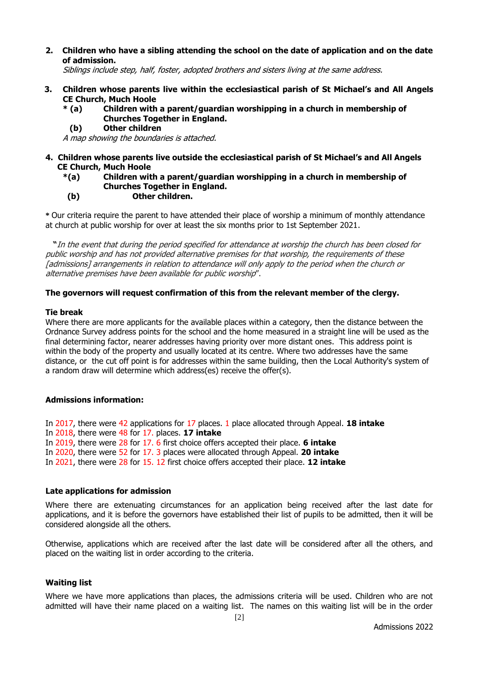**2. Children who have a sibling attending the school on the date of application and on the date of admission.**

Siblings include step, half, foster, adopted brothers and sisters living at the same address.

- **3. Children whose parents live within the ecclesiastical parish of St Michael's and All Angels CE Church, Much Hoole**
	- **\* (a) Children with a parent/guardian worshipping in a church in membership of Churches Together in England.**
		- **(b) Other children**

A map showing the boundaries is attached.

- **4. Children whose parents live outside the ecclesiastical parish of St Michael's and All Angels CE Church, Much Hoole**
	- **\*(a) Children with a parent/guardian worshipping in a church in membership of Churches Together in England.**
	- **(b) Other children.**

**\*** Our criteria require the parent to have attended their place of worship a minimum of monthly attendance at church at public worship for over at least the six months prior to 1st September 2021.

 **"**In the event that during the period specified for attendance at worship the church has been closed for public worship and has not provided alternative premises for that worship, the requirements of these [admissions] arrangements in relation to attendance will only apply to the period when the church or alternative premises have been available for public worship".

#### **The governors will request confirmation of this from the relevant member of the clergy.**

#### **Tie break**

Where there are more applicants for the available places within a category, then the distance between the Ordnance Survey address points for the school and the home measured in a straight line will be used as the final determining factor, nearer addresses having priority over more distant ones. This address point is within the body of the property and usually located at its centre. Where two addresses have the same distance, or the cut off point is for addresses within the same building, then the Local Authority's system of a random draw will determine which address(es) receive the offer(s).

#### **Admissions information:**

In 2017, there were 42 applications for 17 places. 1 place allocated through Appeal. **18 intake** In 2018, there were 48 for 17. places. **17 intake** In 2019, there were 28 for 17. 6 first choice offers accepted their place. **6 intake** In 2020, there were 52 for 17. 3 places were allocated through Appeal. **20 intake** In 2021, there were 28 for 15. 12 first choice offers accepted their place. **12 intake**

#### **Late applications for admission**

Where there are extenuating circumstances for an application being received after the last date for applications, and it is before the governors have established their list of pupils to be admitted, then it will be considered alongside all the others.

Otherwise, applications which are received after the last date will be considered after all the others, and placed on the waiting list in order according to the criteria.

## **Waiting list**

Where we have more applications than places, the admissions criteria will be used. Children who are not admitted will have their name placed on a waiting list. The names on this waiting list will be in the order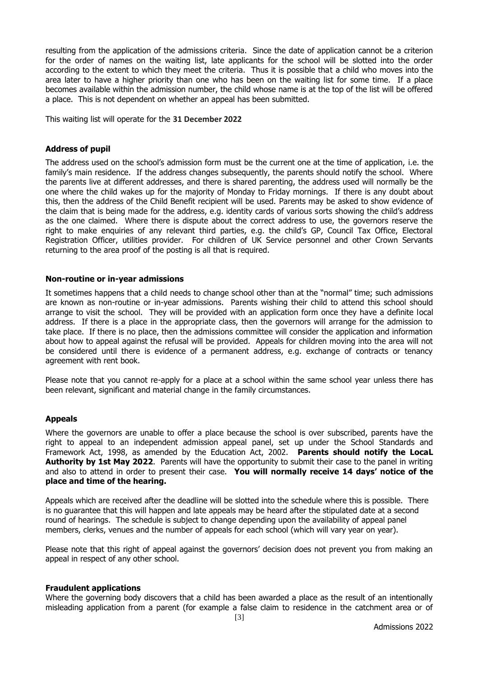resulting from the application of the admissions criteria. Since the date of application cannot be a criterion for the order of names on the waiting list, late applicants for the school will be slotted into the order according to the extent to which they meet the criteria. Thus it is possible that a child who moves into the area later to have a higher priority than one who has been on the waiting list for some time. If a place becomes available within the admission number, the child whose name is at the top of the list will be offered a place. This is not dependent on whether an appeal has been submitted.

This waiting list will operate for the **31 December 2022**

#### **Address of pupil**

The address used on the school's admission form must be the current one at the time of application, i.e. the family's main residence. If the address changes subsequently, the parents should notify the school. Where the parents live at different addresses, and there is shared parenting, the address used will normally be the one where the child wakes up for the majority of Monday to Friday mornings. If there is any doubt about this, then the address of the Child Benefit recipient will be used. Parents may be asked to show evidence of the claim that is being made for the address, e.g. identity cards of various sorts showing the child's address as the one claimed. Where there is dispute about the correct address to use, the governors reserve the right to make enquiries of any relevant third parties, e.g. the child's GP, Council Tax Office, Electoral Registration Officer, utilities provider. For children of UK Service personnel and other Crown Servants returning to the area proof of the posting is all that is required.

#### **Non-routine or in-year admissions**

It sometimes happens that a child needs to change school other than at the "normal" time; such admissions are known as non-routine or in-year admissions. Parents wishing their child to attend this school should arrange to visit the school. They will be provided with an application form once they have a definite local address. If there is a place in the appropriate class, then the governors will arrange for the admission to take place. If there is no place, then the admissions committee will consider the application and information about how to appeal against the refusal will be provided. Appeals for children moving into the area will not be considered until there is evidence of a permanent address, e.g. exchange of contracts or tenancy agreement with rent book.

Please note that you cannot re-apply for a place at a school within the same school year unless there has been relevant, significant and material change in the family circumstances.

#### **Appeals**

Where the governors are unable to offer a place because the school is over subscribed, parents have the right to appeal to an independent admission appeal panel, set up under the School Standards and Framework Act, 1998, as amended by the Education Act, 2002. **Parents should notify the LocaL Authority by 1st May 2022**. Parents will have the opportunity to submit their case to the panel in writing and also to attend in order to present their case. **You will normally receive 14 days' notice of the place and time of the hearing.**

Appeals which are received after the deadline will be slotted into the schedule where this is possible. There is no guarantee that this will happen and late appeals may be heard after the stipulated date at a second round of hearings. The schedule is subject to change depending upon the availability of appeal panel members, clerks, venues and the number of appeals for each school (which will vary year on year).

Please note that this right of appeal against the governors' decision does not prevent you from making an appeal in respect of any other school.

#### **Fraudulent applications**

Where the governing body discovers that a child has been awarded a place as the result of an intentionally misleading application from a parent (for example a false claim to residence in the catchment area or of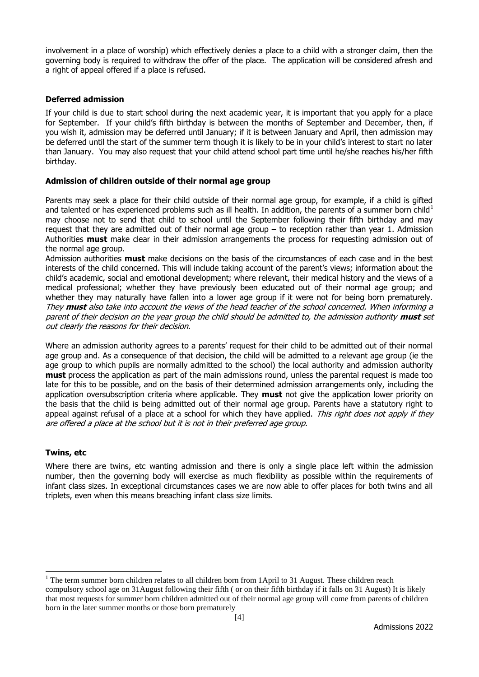involvement in a place of worship) which effectively denies a place to a child with a stronger claim, then the governing body is required to withdraw the offer of the place. The application will be considered afresh and a right of appeal offered if a place is refused.

## **Deferred admission**

If your child is due to start school during the next academic year, it is important that you apply for a place for September. If your child's fifth birthday is between the months of September and December, then, if you wish it, admission may be deferred until January; if it is between January and April, then admission may be deferred until the start of the summer term though it is likely to be in your child's interest to start no later than January. You may also request that your child attend school part time until he/she reaches his/her fifth birthday.

## **Admission of children outside of their normal age group**

Parents may seek a place for their child outside of their normal age group, for example, if a child is gifted and talented or has experienced problems such as ill health. In addition, the parents of a summer born child<sup>1</sup> may choose not to send that child to school until the September following their fifth birthday and may request that they are admitted out of their normal age group – to reception rather than year 1. Admission Authorities **must** make clear in their admission arrangements the process for requesting admission out of the normal age group.

Admission authorities **must** make decisions on the basis of the circumstances of each case and in the best interests of the child concerned. This will include taking account of the parent's views; information about the child's academic, social and emotional development; where relevant, their medical history and the views of a medical professional; whether they have previously been educated out of their normal age group; and whether they may naturally have fallen into a lower age group if it were not for being born prematurely. They **must** also take into account the views of the head teacher of the school concerned. When informing a parent of their decision on the year group the child should be admitted to, the admission authority **must** set out clearly the reasons for their decision.

Where an admission authority agrees to a parents' request for their child to be admitted out of their normal age group and. As a consequence of that decision, the child will be admitted to a relevant age group (ie the age group to which pupils are normally admitted to the school) the local authority and admission authority **must** process the application as part of the main admissions round, unless the parental request is made too late for this to be possible, and on the basis of their determined admission arrangements only, including the application oversubscription criteria where applicable. They **must** not give the application lower priority on the basis that the child is being admitted out of their normal age group. Parents have a statutory right to appeal against refusal of a place at a school for which they have applied. This right does not apply if they are offered a place at the school but it is not in their preferred age group.

## **Twins, etc**

Where there are twins, etc wanting admission and there is only a single place left within the admission number, then the governing body will exercise as much flexibility as possible within the requirements of infant class sizes. In exceptional circumstances cases we are now able to offer places for both twins and all triplets, even when this means breaching infant class size limits.

 $\overline{a}$ <sup>1</sup> The term summer born children relates to all children born from 1April to 31 August. These children reach compulsory school age on 31August following their fifth ( or on their fifth birthday if it falls on 31 August) It is likely that most requests for summer born children admitted out of their normal age group will come from parents of children born in the later summer months or those born prematurely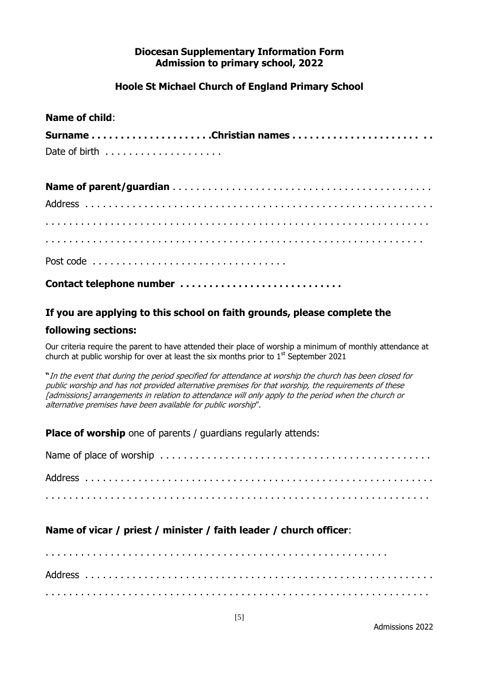# **Diocesan Supplementary Information Form Admission to primary school, 2022**

# **Hoole St Michael Church of England Primary School**

## **Name of child**:

| Date of birth $\ldots \ldots \ldots \ldots \ldots$ |  |
|----------------------------------------------------|--|

| Contact telephone number |  |  |  |  |  |  |  |  |  |  |  |  |  |  |  |  |  |  |  |  |  |  |  |  |  |
|--------------------------|--|--|--|--|--|--|--|--|--|--|--|--|--|--|--|--|--|--|--|--|--|--|--|--|--|

## **If you are applying to this school on faith grounds, please complete the**

## **following sections:**

Our criteria require the parent to have attended their place of worship a minimum of monthly attendance at church at public worship for over at least the six months prior to  $1<sup>st</sup>$  September 2021

**"**In the event that during the period specified for attendance at worship the church has been closed for public worship and has not provided alternative premises for that worship, the requirements of these [admissions] arrangements in relation to attendance will only apply to the period when the church or alternative premises have been available for public worship".

**Place of worship** one of parents / guardians regularly attends:

Name of place of worship . . . . . . . . . . . . . . . . . . . . . . . . . . . . . . . . . . . . . . . . . . . . . . Address . . . . . . . . . . . . . . . . . . . . . . . . . . . . . . . . . . . . . . . . . . . . . . . . . . . . . . . . . . . . . . . . . . . . . . . . . . . . . . . . . . . . . . . . . . . . . . . . . . . . . . . . . . . . . . . . . . . . . . . . . . . .

# **Name of vicar / priest / minister / faith leader / church officer**:

. . . . . . . . . . . . . . . . . . . . . . . . . . . . . . . . . . . . . . . . . . . . . . . . . . . . . . . . . . Address . . . . . . . . . . . . . . . . . . . . . . . . . . . . . . . . . . . . . . . . . . . . . . . . . . . . . . . . . . . . . . . . . . . . . . . . . . . . . . . . . . . . . . . . . . . . . . . . . . . . . . . . . . . . . . . . . . . . . . . . . . . .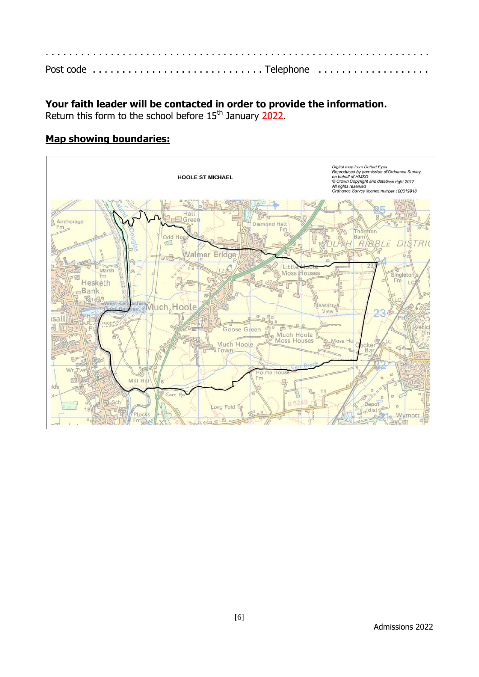# **Your faith leader will be contacted in order to provide the information.**

Return this form to the school before  $15<sup>th</sup>$  January 2022.

# **Map showing boundaries:**